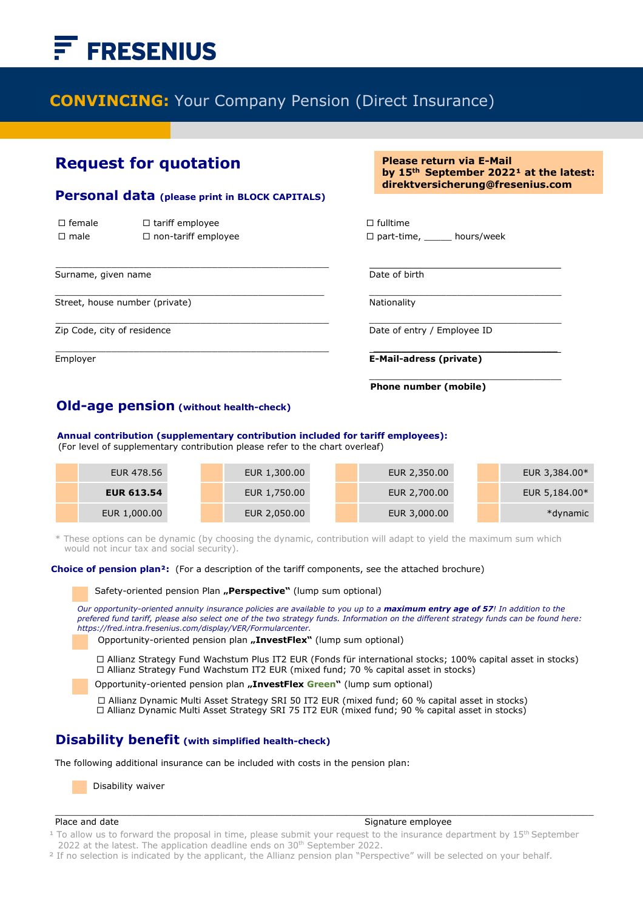# **FRESENIUS**

# **CONVINCING:** Your Company Pension (Direct Insurance)

i

## **Request for quotation**

#### **Personal data (please print in BLOCK CAPITALS)**

 $\mathcal{L}_\text{max}$  , and the contract of the contract of the contract of the contract of the contract of the contract of the contract of the contract of the contract of the contract of the contract of the contract of the contr

| $\Box$ female | $\Box$ tariff employee     | $\Box$ fulltime |
|---------------|----------------------------|-----------------|
| $\Box$ male   | $\Box$ non-tariff employee | $\Box$ part-tim |

Surname, given name **Date of birth** Date of birth

Street, house number (private) Nationality Nationality

Ī

**Please return via E-Mail** by 15<sup>th</sup> September 2022<sup>1</sup> at the latest: **direktversicherung@fresenius.com** 

 $\Box$  part-time, hours/week

 $\mathcal{L}_\text{max} = \frac{1}{2} \sum_{i=1}^{n} \frac{1}{2} \sum_{i=1}^{n} \frac{1}{2} \sum_{i=1}^{n} \frac{1}{2} \sum_{i=1}^{n} \frac{1}{2} \sum_{i=1}^{n} \frac{1}{2} \sum_{i=1}^{n} \frac{1}{2} \sum_{i=1}^{n} \frac{1}{2} \sum_{i=1}^{n} \frac{1}{2} \sum_{i=1}^{n} \frac{1}{2} \sum_{i=1}^{n} \frac{1}{2} \sum_{i=1}^{n} \frac{1}{2} \sum_{i=1}^{n} \frac{1$ 

Zip Code, city of residence  $\Box$  Date of entry / Employee ID

 $\mathcal{L}_\text{max} = \frac{1}{2} \sum_{i=1}^{n} \frac{1}{2} \sum_{i=1}^{n} \frac{1}{2} \sum_{i=1}^{n} \frac{1}{2} \sum_{i=1}^{n} \frac{1}{2} \sum_{i=1}^{n} \frac{1}{2} \sum_{i=1}^{n} \frac{1}{2} \sum_{i=1}^{n} \frac{1}{2} \sum_{i=1}^{n} \frac{1}{2} \sum_{i=1}^{n} \frac{1}{2} \sum_{i=1}^{n} \frac{1}{2} \sum_{i=1}^{n} \frac{1}{2} \sum_{i=1}^{n} \frac{1$ Employer **E-Mail-adress (private)**

**Phone number (mobile)**

\_\_\_\_\_\_\_\_\_\_\_\_\_\_\_\_\_\_\_\_\_\_\_\_\_\_\_\_\_\_\_\_\_\_\_

### **Old-age pension (without health-check)**

 **Annual contribution (supplementary contribution included for tariff employees):**

(For level of supplementary contribution please refer to the chart overleaf)

| EUR 478.56        | EUR 1,300.00 | EUR 2,350.00 |  | EUR 3,384.00* |
|-------------------|--------------|--------------|--|---------------|
| <b>EUR 613.54</b> | EUR 1,750.00 | EUR 2,700.00 |  | EUR 5,184.00* |
| EUR 1,000.00      | EUR 2,050.00 | EUR 3,000.00 |  | *dynamic      |

\* These options can be dynamic (by choosing the dynamic, contribution will adapt to yield the maximum sum which would not incur tax and social security).

 $\mathcal{L}_\text{max} = \frac{1}{2} \sum_{i=1}^{n} \frac{1}{2} \sum_{i=1}^{n} \frac{1}{2} \sum_{i=1}^{n} \frac{1}{2} \sum_{i=1}^{n} \frac{1}{2} \sum_{i=1}^{n} \frac{1}{2} \sum_{i=1}^{n} \frac{1}{2} \sum_{i=1}^{n} \frac{1}{2} \sum_{i=1}^{n} \frac{1}{2} \sum_{i=1}^{n} \frac{1}{2} \sum_{i=1}^{n} \frac{1}{2} \sum_{i=1}^{n} \frac{1}{2} \sum_{i=1}^{n} \frac{1$ 

 **Choice of pension plan²:** (For a description of the tariff components, see the attached brochure)

Safety-oriented pension Plan **"Perspective**" (lump sum optional)

*Our opportunity-oriented annuity insurance policies are available to you up to a maximum entry age of 57! In addition to the prefered fund tariff, please also select one of the two strategy funds. Information on the different strategy funds can be found here: https://fred.intra.fresenius.com/display/VER/Formularcenter.*

Opportunity-oriented pension plan **"InvestFlex"** (lump sum optional)

 Allianz Strategy Fund Wachstum Plus IT2 EUR (Fonds für international stocks; 100% capital asset in stocks)  Allianz Strategy Fund Wachstum IT2 EUR (mixed fund; 70 % capital asset in stocks)

Opportunity-oriented pension plan "InvestFlex Green" (lump sum optional)

 Allianz Dynamic Multi Asset Strategy SRI 50 IT2 EUR (mixed fund; 60 % capital asset in stocks) □ Allianz Dynamic Multi Asset Strategy SRI 75 IT2 EUR (mixed fund; 90 % capital asset in stocks)

#### **Disability benefit (with simplified health-check)**

The following additional insurance can be included with costs in the pension plan:

Disability waiver

#### Place and date Signature employee

<sup>1</sup> To allow us to forward the proposal in time, please submit your request to the insurance department by 15<sup>th</sup> September 2022 at the latest. The application deadline ends on 30<sup>th</sup> September 2022.

 $\_$  ,  $\_$  ,  $\_$  ,  $\_$  ,  $\_$  ,  $\_$  ,  $\_$  ,  $\_$  ,  $\_$  ,  $\_$  ,  $\_$  ,  $\_$  ,  $\_$  ,  $\_$  ,  $\_$  ,  $\_$  ,  $\_$  ,  $\_$  ,  $\_$  ,  $\_$  ,  $\_$  ,  $\_$  ,  $\_$  ,  $\_$  ,  $\_$  ,  $\_$  ,  $\_$  ,  $\_$  ,  $\_$  ,  $\_$  ,  $\_$  ,  $\_$  ,  $\_$  ,  $\_$  ,  $\_$  ,  $\_$  ,  $\_$  ,

<sup>2</sup> If no selection is indicated by the applicant, the Allianz pension plan "Perspective" will be selected on your behalf.